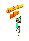

**Melody Cheal**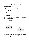# **Organisational Politics**

Getting on at work is just about doing a good job, being reliable and working hard, right? Or is there more to it than that?

If I told you that below are the three ingredients for getting on in organisations what percentage would you give to each category?

| Performance     |  |
|-----------------|--|
| Image           |  |
| <b>Exposure</b> |  |

In his book "Empowering Yourself", Harvey Colman describes how the "game" of organisational politics is played and what you need in order to progress. He calls this the "PIE", the formula for success.

- $\checkmark$  Perform exceptionally well (10%).
- $\checkmark$  Cultivate the proper Image (30-40%).
- $\checkmark$  Manage Exposure (50-60%).

In order to explore this model more fully it may make sense to look more at the more common behaviours seen in the work place.

One model worthy of exploring divides the population into two types, sustainers and achievers.



According to Dr. Adel Scheele, these two categories can be divided by the different behaviour traits that each displays. In a nutshell, Sustainers apply what is known as the "good student" model in that they have a tendency to work hard and hope that someone will reward their industriousness with promotion, bonuses or pay increases. The Sustainer waits for recognition and then may become resentful or cynical when their efforts go unnoticed.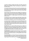In contrast, the Achiever is prepared to take action to get noticed. They will tell people of their achievements, display their skills and look for opportunities to demonstrate their worthiness for reward. Their behaviours are proactive and are about taking initiative.

In our culture, the Achiever's proactive stance may well feel uncomfortable to many and in particular social training for women in the past has actively discouraged this kind of "blowing your own trumpet". Despite this cultural bias Achiever behaviour can still be seen as more effective for those wishing to climb the corporate ladder than Sustainer behaviour.

Gender differences in Office Politics have been the subject of much research over the years, in particular the work of Arroba, James and Baddeley. They developed a model to explore what they called the darker side of organisation politics which described four categories; the Donkey, the Fox, the Sheep and the Owl. The four animals form the basis of a quadrant diagram with two key axis, integrity and political awareness.

The integrity axis runs from low integrity through to high integrity. A person/ animal with low integrity is likely to put their own agenda first above anything else in the work environment. On the other end of the scale, the person/ animal will have the best interests of the organisation in mind even when pursuing their own agenda.

The second scale starts with politically naive at one end and politically aware at the other. Political naivety in its extreme would mean a total lack of awareness of the undercurrents, dynamics and various agendas running around them. Someone who is very politically aware would know what was going on; they would be "in the know" and able to interpret subtle signals within the organisation structure that indicate change and power.

**The Clever Fox:** The Fox is high in political awareness but low on integrity. This means not only does this animal focus on their own agenda they are likely to be highly skilled in the arena of organisational politics. They are often charming, charismatic, good rapport builders with excellent networking skills. They will be good at managing both their image and their exposure. They will be good for an organisation all the time their aims are in line with that of the company.

**The Inept Donkey:** By contrast this animal would like to be a Fox but is not clever enough as they are both politically naive and low on integrity. There may well be a sense of the Donkey "putting their foot in it" possibly creating enemies instead of allies. This type of animal may actually cause the organisation harm and is often described as inept.

© Imaginarium Learning & Development **The Innocent Sheep:** It is the Sheep that keeps the organisation going and who make up the back bone of the work force. Their high levels of integrity make them hard workers, reliable and trustworthy. However their low political awareness often creates problems for them when they do not see change coming and are not

info@imaginariumdev.com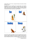prepared shifts in power. There is a danger that Sheep will be kicked by Donkeys and eaten by Foxes.

**The Wise Owl:** The Owl is politically aware and high integrity. This combination provides for a dynamic animal capable of managing their profile, image and exposure while at the same time inspiring trust in others. Owls prefer to develop win/win relationships; they are mindful of the organisations aims and objectives as well as their own and place a high value on a good reputation.



Owls and Foxes seldom work together for long, small companies tend to be one or the other. In larger companies there are likely to be clusters of Foxes and Owls in various departments or divisions. If a Fox tries to operate in Owl country they are likely to be exposed because Owls will challenge behaviour that lacks integrity. Owls

> © Imaginarium Learning & Development info@imaginariumdev.com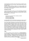who find themselves surrounded by Owls and Foxes seldom work together for long, small companies tend to be one or the other. In larger companies there are likely to be clusters of Foxes

and Owls in various departments or divisions. If a Fox tries to operate in Owl country they are likely to be exposed because Owls will challenge behaviour that lacks integrity. Owls who find themselves surrounded by Foxes will often leave if they are unable to facilitate change.

#### **Developing Your Skills**

All three of these models are useful as a way of first understanding organisational politics and then looking at how to improve your own career prospects. An action plan can be drawn up using the "PIE" formula and must start with a frank and honest appraisal of your current position.

#### **Performance**

- What are your current levels of skill, competency and talent?
- What is your career path?
- What do you need to develop?
- ❖ How are you going to develop?
- ❖ How will you measure success?

Use these questions to plan your development programme and consider what the next smallest step is that you can take in your career progression and then take it!

Do you have a mentor? Mentoring serves two purposes; firstly the right mentor will help you develop skills and competency so that you will be performing at the top of your game. Secondly mentoring may provide you with a way to raise your profile and thus your exposure. Choosing a mentor is critical in this process, you need someone who has an understanding of your business and industry and who is also able to guide you in your career progression. It is worth noting that a Fox mentor may be very motivational and could boost your career tremendously. This is because the Fox will benefit from your success by bathing in your reflected glory. If you choose a Fox for a mentor just make sure to protect yourself should your agenda move into competition with theirs. An Owl on the other hand will genuinely be happy to help you succeed (while still understanding how being a successful mentor is good for their career too).

## **Image**

This needs to be tackled on two levels. Firstly there is your **internal self image**, if you do not believe in yourself no one else will. This may mean working on self esteem, self confidence and assertiveness perhaps using something like NLP (Neuro Linguistic Programming). Information about NLP can be found in books, audio tapes, from your mentor or by attending a course in self development (e.g. NLP Practitioner training). You might also consider establishing a relationship with an Executive Coach to help you develop this and other skills.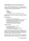The **external image** is very much about controlling and managing how others perceive you. This includes being aware of the impact of first impressions.

A Harvard university study suggests that we can all accurately assess the competence of another person to within about 80% in just 30 seconds! After about four minutes our opinion of that person is pretty much set forever. When we first see someone we register some basic information about them:

- $\Box$  Age
- **Q** Gender
- $\Box$  Race/skin colour
- $\Box$  Height/weight
- $\Box$  Other physical characteristics (e.g. beard, disability, hair colour).

These assumptions and decisions are all made within the first four minutes of meeting a person. There are a number of things you can do right away to manage how others see you:

#### **In the first 30 seconds:**

- $\Box$  Walk into the room directly without hesitating.
- $\Box$  Introduce yourself to others by offering your hand and saying your name.
- $\Box$  Maintain good eye contact with people when you speak to them.
- $\Box$  Smile when appropriate and remember to use the person's name.
- $\Box$  Keep your head up and your shoulders relaxed.
- $\Box$  Avoid fidgeting or putting your hands in your pockets.
- $\Box$  Speak clearly and be confident about speaking first.

## **In the first 4 minutes.**

- $\Box$  Make a point to be interested not interesting!
- $\Box$  Ask lots of open questions.
- $\Box$  Take the lead in introducing others you have just met.
- $\Box$  Maintain confident, open body language.
- $\Box$  Use active listening reflecting, summarising, clarifying etc.

Awareness of your body language and appearance after first impressions is just as important in terms of projecting confidence, competence and belonging. Notice the clothing uniforms that come with each level of authority within an organisation. One well worn piece of advice is to dress for the job you want rather than the job you have. This way you look like you belong to that level already!

Colman, although American, credits the "British Empire" with setting the agenda for how things are done and setting the "rules of the game" at the highest levels of corporate and social power. Whether you agree with this or not, or whether this is